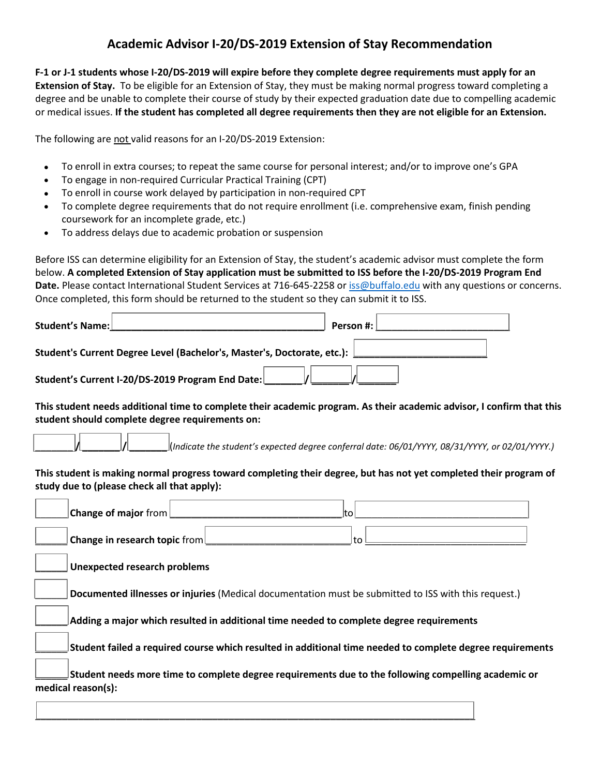## **Academic Advisor I-20/DS-2019 Extension of Stay Recommendation**

**F-1 or J-1 students whose I-20/DS-2019 will expire before they complete degree requirements must apply for an Extension of Stay.** To be eligible for an Extension of Stay, they must be making normal progress toward completing a degree and be unable to complete their course of study by their expected graduation date due to compelling academic or medical issues. **If the student has completed all degree requirements then they are not eligible for an Extension.** 

The following are not valid reasons for an I-20/DS-2019 Extension:

- To enroll in extra courses; to repeat the same course for personal interest; and/or to improve one's GPA
- To engage in non-required Curricular Practical Training (CPT)
- To enroll in course work delayed by participation in non-required CPT
- To complete degree requirements that do not require enrollment (i.e. comprehensive exam, finish pending coursework for an incomplete grade, etc.)
- To address delays due to academic probation or suspension

Before ISS can determine eligibility for an Extension of Stay, the student's academic advisor must complete the form below. **A completed Extension of Stay application must be submitted to ISS before the I-20/DS-2019 Program End Date.** Please contact International Student Services at 716-645-2258 or [iss@buffalo.edu](mailto:iss@buffalo.edu) with any questions or concerns. Once completed, this form should be returned to the student so they can submit it to ISS.

| Student's Name:                                                         | Person #: |
|-------------------------------------------------------------------------|-----------|
| Student's Current Degree Level (Bachelor's, Master's, Doctorate, etc.): |           |
| Student's Current I-20/DS-2019 Program End Date:                        |           |

**This student needs additional time to complete their academic program. As their academic advisor, I confirm that this student should complete degree requirements on:**

```
_______ / _______ / _______ (Indicate the student's expected degree conferral date: 06/01/YYYY, 08/31/YYYY, or 02/01/YYYY.)
```
**This student is making normal progress toward completing their degree, but has not yet completed their program of study due to (please check all that apply):**

| <b>Change of major</b> from $\Box$<br>lt∩                                                                                 |  |  |
|---------------------------------------------------------------------------------------------------------------------------|--|--|
| Change in research topic from $\Box$<br>∣t∩                                                                               |  |  |
| <b>Unexpected research problems</b>                                                                                       |  |  |
| Documented illnesses or injuries (Medical documentation must be submitted to ISS with this request.)                      |  |  |
| Adding a major which resulted in additional time needed to complete degree requirements                                   |  |  |
| Student failed a required course which resulted in additional time needed to complete degree requirements                 |  |  |
| Student needs more time to complete degree requirements due to the following compelling academic or<br>medical reason(s): |  |  |

\_\_\_\_\_\_\_\_\_\_\_\_\_\_\_\_\_\_\_\_\_\_\_\_\_\_\_\_\_\_\_\_\_\_\_\_\_\_\_\_\_\_\_\_\_\_\_\_\_\_\_\_\_\_\_\_\_\_\_\_\_\_\_\_\_\_\_\_\_\_\_\_\_\_\_\_\_\_\_\_\_\_